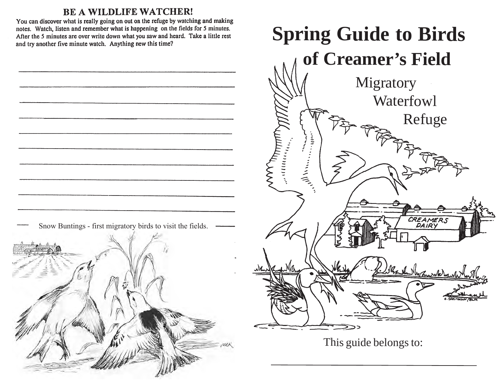### **BE A WILDLIFE WATCHER!**

You can discover what is really going on out on the refuge by watching and making notes. Watch, listen and remember what is happening on the fields for 5 minutes. After the 5 minutes are over write down what you saw and heard. Take a little rest

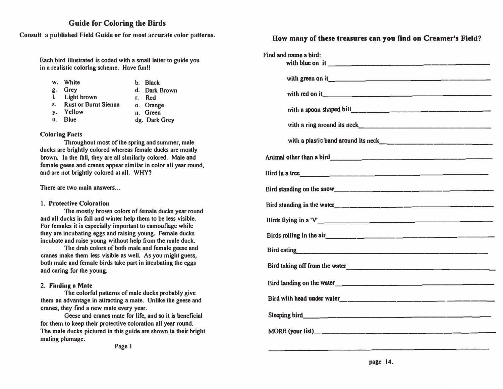#### **Guide for Coloring the Birds**

**Consult a published Field Guide or for most accurate color patterns.**

**Each bird illustrated is coded with a small letter to guide you in a realistic coloring scheme. Have fun!!** 

- **w. White** b. **Black**
- **g. Grey d. Dark Brown**
- 
- **I. Light brown r. Red**
- **s. Rust or Burnt Sienna o. Orange**
- **y. Yellow** 11. **Green**
- 

LI. **Blue dg. Dark Grey**

#### **Coloring Facts**

**Throughout most of the spring and summer, male ducks are brightly colored whereas female ducks are mostly brown. In the fall, they are all similarly colored. Male and female geese and cranes appear similar in color all year round, and are not brightly colored at all. WHY?** 

**There are two main answers ...** 

#### **1. Protective Coloration**

**The mostly brown colors of female ducks year round and all ducks in fall and winter help them to be less visible. For females it is especially important to camouflage while they are incubating eggs and raising young. Female ducks incubate and raise young without help from the male duck.** 

**The drab colors of both male and female geese and cranes make them less visible as well. As you might guess, both male and female birds take part in incubating the eggs and caring for the young.** 

#### **2. Finding a Mate**

**The colorful patterns of male ducks probably give them an advantage in attracting a mate. Unlike the geese and cranes, they find a new mate every year.** 

Geese and cranes mate for life, and so it is beneficial **for them to keep their protective coloration all year round. The male ducks pictured in this guide are shown in their bright mating plumage.** 

**Page I** 

#### **How many of these treasures can you find on Creamer's Field?**

| Find and name a bird:                                                                                                                                                                                                               |
|-------------------------------------------------------------------------------------------------------------------------------------------------------------------------------------------------------------------------------------|
|                                                                                                                                                                                                                                     |
|                                                                                                                                                                                                                                     |
|                                                                                                                                                                                                                                     |
|                                                                                                                                                                                                                                     |
|                                                                                                                                                                                                                                     |
|                                                                                                                                                                                                                                     |
|                                                                                                                                                                                                                                     |
|                                                                                                                                                                                                                                     |
|                                                                                                                                                                                                                                     |
|                                                                                                                                                                                                                                     |
|                                                                                                                                                                                                                                     |
| Bird eating <b>Example 2018</b> and 2018 and 2018 and 2018 and 2018 and 2018 and 2018 and 2018 and 2018 and 2018 and 2018 and 2018 and 2018 and 2018 and 2018 and 2018 and 2018 and 2018 and 2018 and 2018 and 2018 and 2018 and 20 |
|                                                                                                                                                                                                                                     |
|                                                                                                                                                                                                                                     |
|                                                                                                                                                                                                                                     |
|                                                                                                                                                                                                                                     |
|                                                                                                                                                                                                                                     |
|                                                                                                                                                                                                                                     |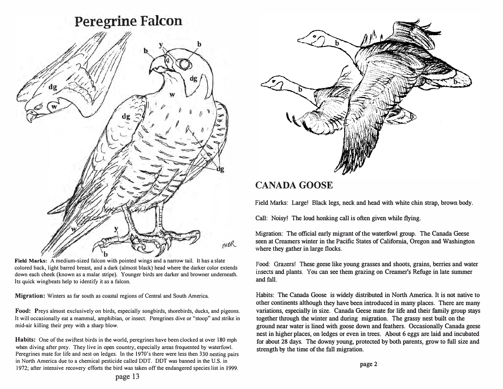# **Peregrine Falcon b**  MOR *:'f*

**Field Marks:** A medium-sized falcon with pointed wings and a narrow tail. It has a slate colored back, light barred breast, and a dark (almost black) head where the darker color extends down each cheek (known as a malar stripe). Younger birds are darker and browner underneath. Its quick wingbeats help to identify it as a falcon.

**Migration:** Winters as far south as coastal regions of Central and South America.

**Food:** Preys almost exclusively on birds, especially songbirds, shorebirds, ducks, and pigeons. It will occasionally eat a mammal, amphibian, or insect. Peregrines dive or "stoop" and strike in mid-air killing their prey with a sharp blow.

**Habits:** One of the swiftest birds in the world, peregrines have been clocked at over 180 mph when diving after prey. They live in open country, especially areas frequented by waterfowl. Peregrines mate for life and nest on ledges. In the 1970's there were less then 330 nesting pairs in North America due to a chemical pesticide called DDT. DDT was banned in the U.S. in 1972; after intensive recovery efforts the bird was taken off the endangered species list in 1999.



## **CANADA GOOSE**

**Field Marks: Large! Black legs, neck and head with white chin strap, brown body.** 

**Call: Noisy! The loud honking call is often given while flying.** 

**Migration: The official early migrant of the waterfowl group. The Canada Geese seen at Creamers winter in the Pacific States of California, Oregon and Washington where they gather in large flocks.** 

**Food: Grazers! These geese like young grasses and shoots, grains, berries and water insects and plants. You can see them grazing on Creamer's Refuge in late summer and fall.** 

**Habits: The Canada Goose is widely distributed in North America. It is not native to other continents although they have been introduced in many places. There are many variations, especially in size. Canada Geese mate for life and their family group stays together through the winter and during migration. The grassy nest built on the ground near water is lined with goose down and feathers. Occasionally Canada geese nest in higher places, on ledges or even in trees. About 6 eggs are laid and incubated for about 28 days. The downy young, protected by both parents, grow to full size and strength by the time of the fall migration.**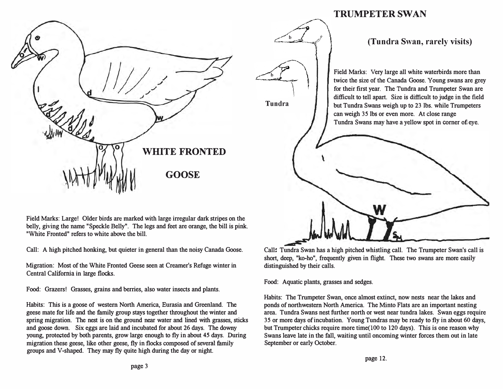

## **TRUMPETER SWAN**

#### **(Tundra Swan, rarely visits)**

**Field Marks: Very large all white waterbirds more than**  twice the size of the Canada Goose. Young swans are grey **for their first year. The Tundra and Trumpeter Swan are difficult to tell apart. Size is difficult to judge in the field but Tundra Swans weigh up to 23 lbs. while Trumpeters can weigh 3** *5* **lbs or even more. At close range Tundra Swans may have a yellow spot in corner of eye.** 

**Field Marks: Large! Older birds are marked with large irregular dark stripes on the belly, giving the name "Speckle Belly". The legs and feet are orange, the bill is pink. "White Fronted" refers to white above the bill.** 

Call: A high pitched honking, but quieter in general than the noisy Canada Goose.

**Migration: Most of the White Fronted Geese seen at Creamer's Refuge winter in Central California in large flocks.** 

**Food: Grazers! Grasses, grains and berries, also water insects and plants.** 

**Habits: This is a goose of western North America, Eurasia and Greenland. The geese mate for life and the family group stays together throughout the winter and spring migration. The nest is on the ground near water and lined with grasses, sticks and goose down. Six eggs are laid and incubated for about 26 days. The downy**  young, protected by both parents, grow large enough to fly in about 45 days. During **migration these geese, like other geese, fly in flocks composed of several family groups and V-shaped. They may fly quite high during the day or night.** 

W

**Call: Tundra Swan has a high pitched whistling call. The Trumpeter Swan's call is short, deep, "ko-ho", frequently given in flight. These two swans are more easily distinguished by their calls.** 

**Food: Aquatic plants, grasses and sedges.** 

**Tundra**

**b**

**b**

**Habits: The Trumpeter Swan, once almost extinct, now nests near the lakes and ponds of northwestern North America. The Minto Flats are an important nesting area. Tundra Swans nest further north or west near tundra lakes. Swan eggs require 3** *5* **or more days of incubation. Young Tundras may be ready to fly in about 60 days,**  but Trumpeter chicks require more time(100 to 120 days). This is one reason why **Swans leave late in the fall, waiting until oncoming winter forces them out in late September or early October.**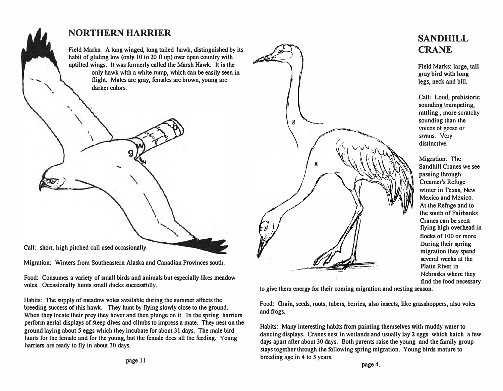

**Migration: Winters from Southeastern Alaska and Canadian Provinces south.** 

**Food: Consumes a variety of small birds and animals but especially likes meadow voles. Occasionally hunts small ducks successfully.** 

**Habits: The supply of meadow voles available during the summer affects the breeding success of this hawk. They hunt by flying slowly close to the ground. When they locate their prey they hover and then plunge on it. In the spring harriers perform aerial displays of steep dives and climbs to impress a mate. They nest on the ground laying about** *5* **eggs which they incubate for about 31 days. The male bird**  hunts **for the female and for the young, but the female does all the feeding. Young harriers are ready to fly in about 30 days.** 



**SANDHILL CRANE** 

**Field Marks: large, tall gray bird with long legs, neck and bill.** 

**Call: Loud, prehistoric sounding trumpeting, rattling , more scratchy sounding than the voices of geese or swans. Very distinctive.** 

**Migration: The Sandhill Cranes we see passing through Creamer's Refuge winter in Texas, New Mexico and Mexico. At the Refuge and to the south of Fairbanks Cranes can be seen flying high overhead in flocks of 100 or more During their spring migration they spend several weeks at the Platte River in Nebraska where they find the food necessary** 

**to give them energy for their coming migration and nesting season.** 

**Food: Grain, seeds, roots, tubers, berries, also insects, like grasshoppers, also voles and frogs.** 

**Habits: Many interesting habits from painting themselves with muddy water to dancing displays. Cranes nest in wetlands and usually lay 2 eggs which hatch a few days apart after about 30 days. Both parents raise the young and the family group stays together through the following spring migration. Young birds mature to breeding age in 4 to** *5* **years.**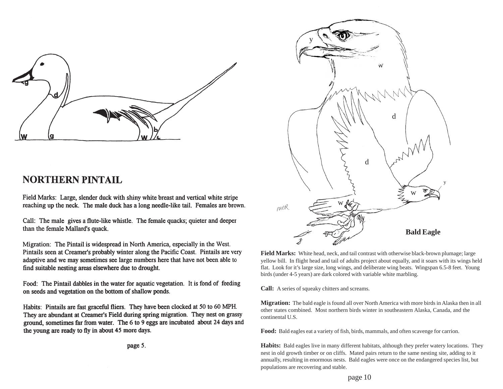

## **NORTHERN PINTAIL**

Field Marks: Large, slender duck with shiny white breast and vertical white stripe reaching up the neck. The male duck has a long needle-like tail. Females are brown.

Call: The male gives a flute-like whistle. The female quacks; quieter and deeper than the female Mallard's quack.

Migration: The Pintail is widespread in North America, especially in the West. Pintails seen at Creamer's probably winter along the Pacific Coast. Pintails are very adaptive and we may sometimes see large numbers here that have not been able to find suitable nesting areas elsewhere due to drought.

Food: The Pintail dabbles in the water for aquatic vegetation. It is fond of feeding on seeds and vegetation on the bottom of shallow ponds.

Habits: Pintails are fast graceful fliers. They have been clocked at 50 to 60 MPH. They are abundant at Creamer's Field during spring migration. They nest on grassy ground, sometimes far from water. The 6 to 9 eggs are incubated about 24 days and the young are ready to fly in about 45 more days.





**Field Marks:** White head, neck, and tail contrast with otherwise black-brown plumage; large yellow bill. In flight head and tail of adults project about equally, and it soars with its wings held flat. Look for it's large size, long wings, and deliberate wing beats. Wingspan 6.5-8 feet. Young birds (under 4-5 years) are dark colored with variable white marbling.

**Call:** A series of squeaky chitters and screams.

**Migration:** The bald eagle is found all over North America with more birds in Alaska then in all other states combined. Most northern birds winter in southeastern Alaska, Canada, and the continental U.S.

**Food:** Bald eagles eat a variety of fish, birds, mammals, and often scavenge for carrion.

**Habits:** Bald eagles live in many different habitats, although they prefer watery locations. They nest in old growth timber or on cliffs. Mated pairs return to the same nesting site, adding to it annually, resulting in enormous nests. Bald eagles were once on the endangered species list, but populations are recovering and stable.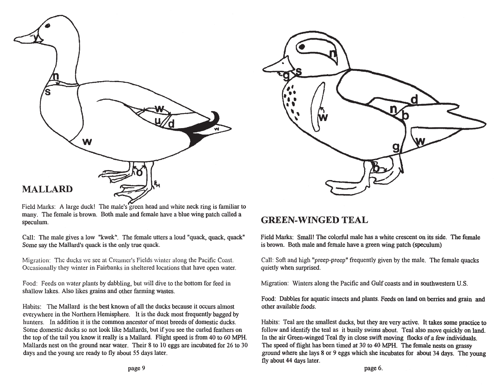

Field Marks: A large duck! The male's green head and white neck ring is familiar to many. The female is brown. Both male and female have a blue wing patch called a speculum.

Call: The male gives a low "kwek". The female utters a loud "quack, quack, quack" Some say the Mallard's quack is the only true quack.

Migration: The ducks we see at Creamer's Fields winter along the Pacific Coast. Occasionally they winter in Fairbanks in sheltered locations that have open water.

Food: Feeds on water plants by dabbling, but will dive to the bottom for feed in shallow lakes. Also likes grains and other farming wastes.

Habits: The Mallard is the best known of all the ducks because it occurs almost everywhere in the Northern Hemisphere. It is the duck most frequently bagged by hunters. In addition it is the common ancestor of most breeds of domestic ducks. Some domestic ducks so not look like Mallards, but if you see the curled feathers on the top of the tail you know it really is a Mallard. Flight speed is from 40 to 60 MPH. Mallards nest on the ground near water. Their 8 to 10 eggs are incubated for 26 to 30 days and the young are ready to fly about 55 days later.



#### **GREEN-WINGED TEAL**

Field Marks: Small! The colorful male has a white crescent on its side. The female is brown. Both male and female have a green wing patch (speculum)

Call: Soft and high "preep-preep" frequently given by the male. The female quacks quietly when surprised.

Migration: Winters along the Pacific and Gulf coasts and in southwestern U.S.

Food: Dabbles for aquatic insects and plants. Feeds on land on berries and grain and other available foods.

Habits: Teal are the smallest ducks, but they are very active. It takes some practice to follow and identify the teal as it busily swims about. Teal also move quickly on land. In the air Green-winged Teal fly in close swift moving flocks of a few individuals. The speed of flight has been timed at 30 to 40 MPH. The female nests on grassy ground where she lays 8 or 9 eggs which she incubates for about 34 days. The young fly about 44 days later.